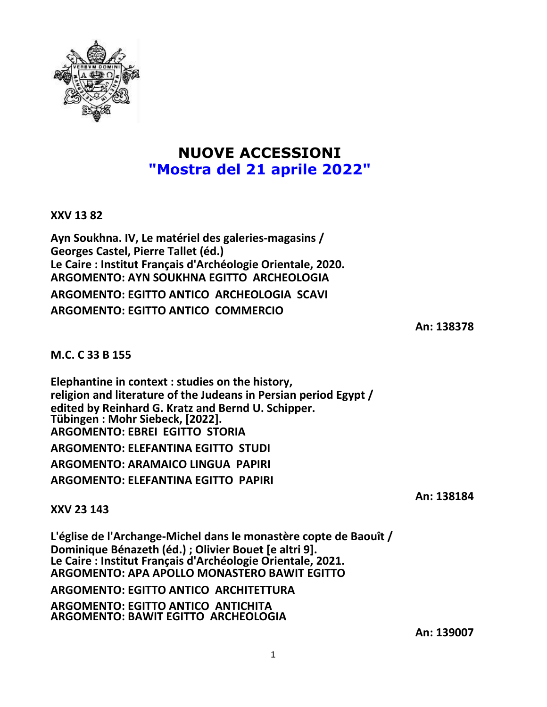

# **NUOVE ACCESSIONI "Mostra del 21 aprile 2022"**

**XXV 13 82**

**Ayn Soukhna. IV, Le matériel des galeries-magasins / Georges Castel, Pierre Tallet (éd.) Le Caire : Institut Français d'Archéologie Orientale, 2020. ARGOMENTO: AYN SOUKHNA EGITTO ARCHEOLOGIA ARGOMENTO: EGITTO ANTICO ARCHEOLOGIA SCAVI ARGOMENTO: EGITTO ANTICO COMMERCIO**

**An: 138378**

**M.C. C 33 B 155**

**Elephantine in context : studies on the history, religion and literature of the Judeans in Persian period Egypt / edited by Reinhard G. Kratz and Bernd U. Schipper. Tübingen : Mohr Siebeck, [2022]. ARGOMENTO: EBREI EGITTO STORIA ARGOMENTO: ELEFANTINA EGITTO STUDI ARGOMENTO: ARAMAICO LINGUA PAPIRI ARGOMENTO: ELEFANTINA EGITTO PAPIRI**

**XXV 23 143**

**L'église de l'Archange-Michel dans le monastère copte de Baouît / Dominique Bénazeth (éd.) ; Olivier Bouet [e altri 9]. Le Caire : Institut Français d'Archéologie Orientale, 2021. ARGOMENTO: APA APOLLO MONASTERO BAWIT EGITTO**

**ARGOMENTO: EGITTO ANTICO ARCHITETTURA**

**ARGOMENTO: EGITTO ANTICO ANTICHITA ARGOMENTO: BAWIT EGITTO ARCHEOLOGIA** **An: 138184**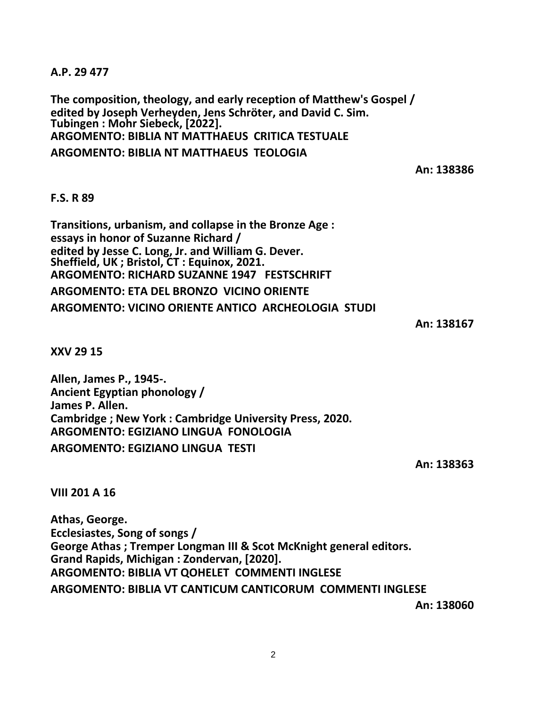**A.P. 29 477**

**The composition, theology, and early reception of Matthew's Gospel / edited by Joseph Verheyden, Jens Schröter, and David C. Sim. Tubingen : Mohr Siebeck, [2022]. ARGOMENTO: BIBLIA NT MATTHAEUS CRITICA TESTUALE ARGOMENTO: BIBLIA NT MATTHAEUS TEOLOGIA**

**An: 138386**

# **F.S. R 89**

**Transitions, urbanism, and collapse in the Bronze Age : essays in honor of Suzanne Richard / edited by Jesse C. Long, Jr. and William G. Dever. Sheffield, UK ; Bristol, CT : Equinox, 2021. ARGOMENTO: RICHARD SUZANNE 1947 FESTSCHRIFT ARGOMENTO: ETA DEL BRONZO VICINO ORIENTE ARGOMENTO: VICINO ORIENTE ANTICO ARCHEOLOGIA STUDI**

**An: 138167**

**XXV 29 15**

**Allen, James P., 1945-. Ancient Egyptian phonology / James P. Allen. Cambridge ; New York : Cambridge University Press, 2020. ARGOMENTO: EGIZIANO LINGUA FONOLOGIA ARGOMENTO: EGIZIANO LINGUA TESTI**

**An: 138363**

**VIII 201 A 16**

**Athas, George. Ecclesiastes, Song of songs / George Athas ; Tremper Longman III & Scot McKnight general editors. Grand Rapids, Michigan : Zondervan, [2020]. ARGOMENTO: BIBLIA VT QOHELET COMMENTI INGLESE ARGOMENTO: BIBLIA VT CANTICUM CANTICORUM COMMENTI INGLESE**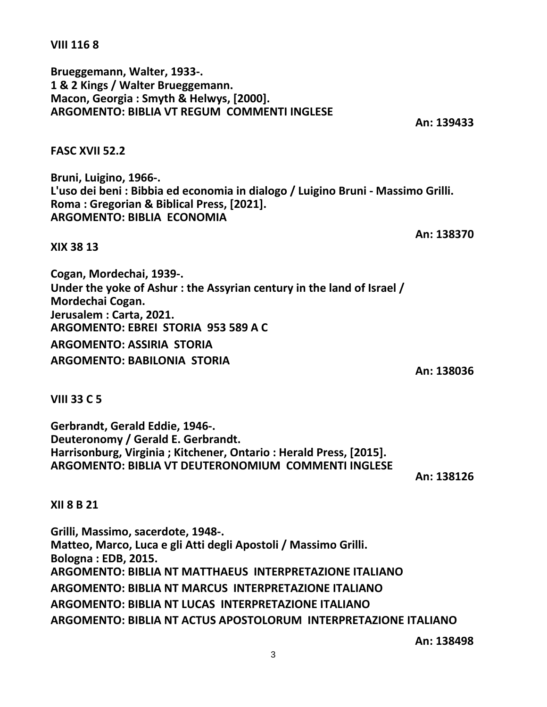### **VIII 116 8**

**Brueggemann, Walter, 1933-. 1 & 2 Kings / Walter Brueggemann. Macon, Georgia : Smyth & Helwys, [2000]. ARGOMENTO: BIBLIA VT REGUM COMMENTI INGLESE**

**FASC XVII 52.2**

**Bruni, Luigino, 1966-. L'uso dei beni : Bibbia ed economia in dialogo / Luigino Bruni - Massimo Grilli. Roma : Gregorian & Biblical Press, [2021]. ARGOMENTO: BIBLIA ECONOMIA**

**XIX 38 13**

**Cogan, Mordechai, 1939-. Under the yoke of Ashur : the Assyrian century in the land of Israel / Mordechai Cogan. Jerusalem : Carta, 2021. ARGOMENTO: EBREI STORIA 953 589 A C ARGOMENTO: ASSIRIA STORIA ARGOMENTO: BABILONIA STORIA**

**VIII 33 C 5**

**Gerbrandt, Gerald Eddie, 1946-. Deuteronomy / Gerald E. Gerbrandt. Harrisonburg, Virginia ; Kitchener, Ontario : Herald Press, [2015]. ARGOMENTO: BIBLIA VT DEUTERONOMIUM COMMENTI INGLESE**

**An: 138126**

**XII 8 B 21**

**Grilli, Massimo, sacerdote, 1948-. Matteo, Marco, Luca e gli Atti degli Apostoli / Massimo Grilli. Bologna : EDB, 2015. ARGOMENTO: BIBLIA NT MATTHAEUS INTERPRETAZIONE ITALIANO ARGOMENTO: BIBLIA NT MARCUS INTERPRETAZIONE ITALIANO ARGOMENTO: BIBLIA NT LUCAS INTERPRETAZIONE ITALIANO ARGOMENTO: BIBLIA NT ACTUS APOSTOLORUM INTERPRETAZIONE ITALIANO**

**An: 138370**

**An: 138036**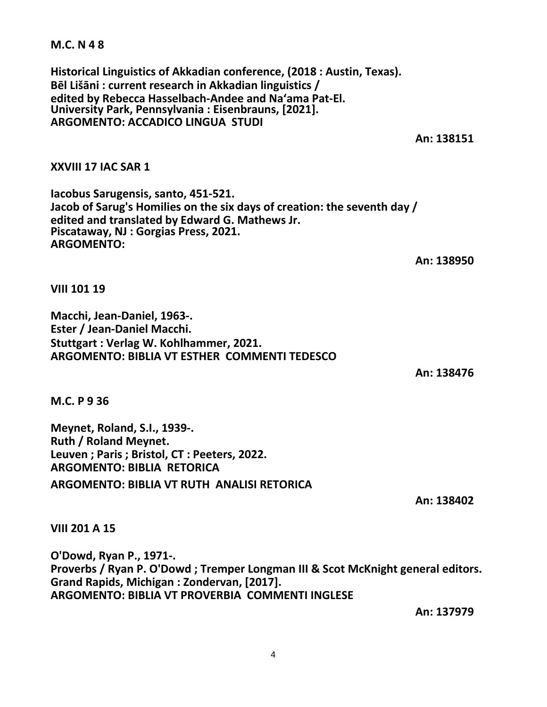**M.C. N 4 8**

**Historical Linguistics of Akkadian conference, (2018 : Austin, Texas). Bēl Lišāni : current research in Akkadian linguistics / edited by Rebecca Hasselbach-Andee and Naʻama Pat-El. University Park, Pennsylvania : Eisenbrauns, [2021]. ARGOMENTO: ACCADICO LINGUA STUDI**

**An: 138151**

**XXVIII 17 IAC SAR 1**

**Iacobus Sarugensis, santo, 451-521. Jacob of Sarug's Homilies on the six days of creation: the seventh day / edited and translated by Edward G. Mathews Jr. Piscataway, NJ : Gorgias Press, 2021. ARGOMENTO:**

**An: 138950**

**VIII 101 19**

**Macchi, Jean-Daniel, 1963-. Ester / Jean-Daniel Macchi. Stuttgart : Verlag W. Kohlhammer, 2021. ARGOMENTO: BIBLIA VT ESTHER COMMENTI TEDESCO**

**An: 138476**

**M.C. P 9 36**

**Meynet, Roland, S.I., 1939-. Ruth / Roland Meynet. Leuven ; Paris ; Bristol, CT : Peeters, 2022. ARGOMENTO: BIBLIA RETORICA ARGOMENTO: BIBLIA VT RUTH ANALISI RETORICA**

**An: 138402**

**VIII 201 A 15**

**O'Dowd, Ryan P., 1971-. Proverbs / Ryan P. O'Dowd ; Tremper Longman III & Scot McKnight general editors. Grand Rapids, Michigan : Zondervan, [2017]. ARGOMENTO: BIBLIA VT PROVERBIA COMMENTI INGLESE**